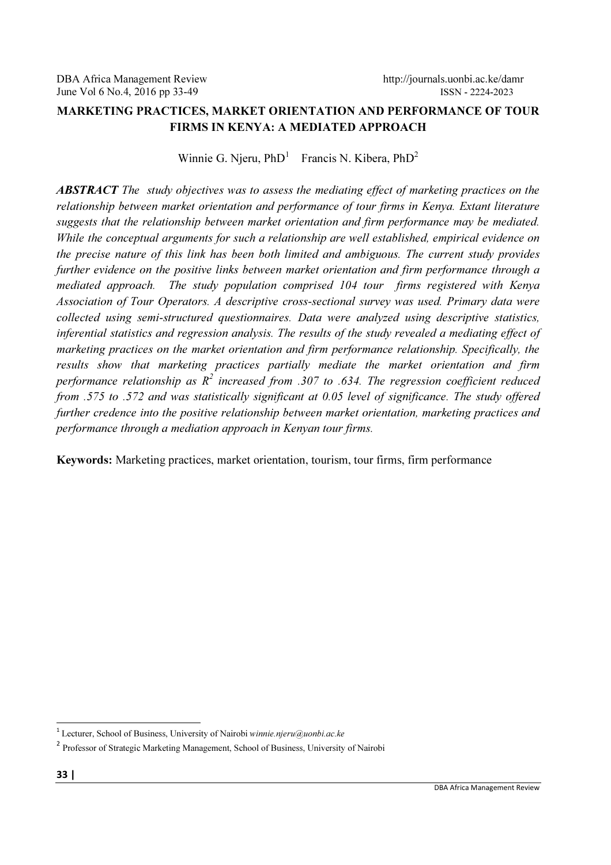# MARKETING PRACTICES, MARKET ORIENTATION AND PERFORMANCE OF TOUR FIRMS IN KENYA: A MEDIATED APPROACH

Winnie G. Njeru,  $PhD<sup>1</sup>$ Francis N. Kibera, PhD<sup>2</sup>

ABSTRACT The study objectives was to assess the mediating effect of marketing practices on the relationship between market orientation and performance of tour firms in Kenya. Extant literature suggests that the relationship between market orientation and firm performance may be mediated. While the conceptual arguments for such a relationship are well established, empirical evidence on the precise nature of this link has been both limited and ambiguous. The current study provides further evidence on the positive links between market orientation and firm performance through a mediated approach. The study population comprised 104 tour firms registered with Kenya Association of Tour Operators. A descriptive cross-sectional survey was used. Primary data were collected using semi-structured questionnaires. Data were analyzed using descriptive statistics, inferential statistics and regression analysis. The results of the study revealed a mediating effect of marketing practices on the market orientation and firm performance relationship. Specifically, the results show that marketing practices partially mediate the market orientation and firm performance relationship as  $R^2$  increased from .307 to .634. The regression coefficient reduced from .575 to .572 and was statistically significant at 0.05 level of significance. The study offered further credence into the positive relationship between market orientation, marketing practices and performance through a mediation approach in Kenyan tour firms.

Keywords: Marketing practices, market orientation, tourism, tour firms, firm performance

l,

<sup>&</sup>lt;sup>1</sup> Lecturer, School of Business, University of Nairobi winnie.njeru@uonbi.ac.ke

<sup>&</sup>lt;sup>2</sup> Professor of Strategic Marketing Management, School of Business, University of Nairobi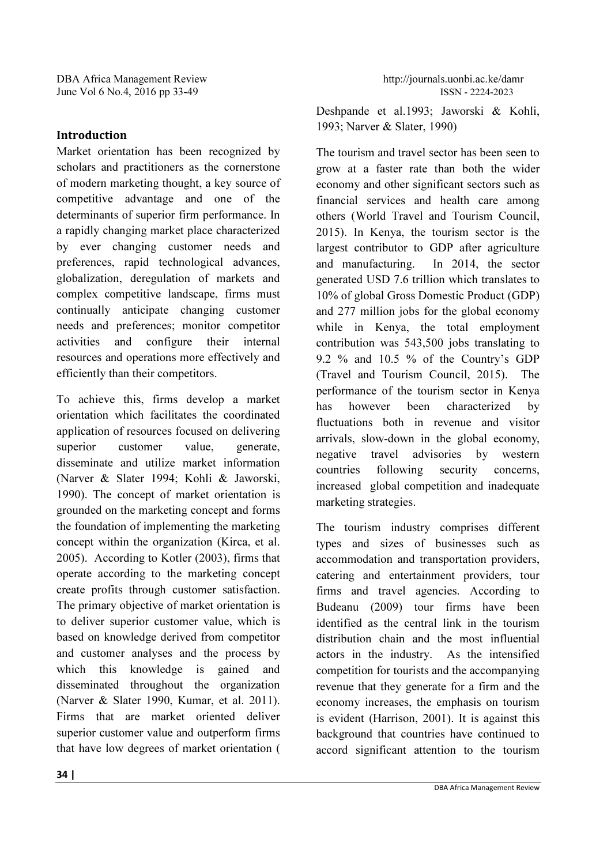# Introduction

Market orientation has been recognized by scholars and practitioners as the cornerstone of modern marketing thought, a key source of competitive advantage and one of the determinants of superior firm performance. In a rapidly changing market place characterized by ever changing customer needs and preferences, rapid technological advances, globalization, deregulation of markets and complex competitive landscape, firms must continually anticipate changing customer needs and preferences; monitor competitor activities and configure their internal resources and operations more effectively and efficiently than their competitors.

To achieve this, firms develop a market orientation which facilitates the coordinated application of resources focused on delivering superior customer value, generate, disseminate and utilize market information (Narver & Slater 1994; Kohli & Jaworski, 1990). The concept of market orientation is grounded on the marketing concept and forms the foundation of implementing the marketing concept within the organization (Kirca, et al. 2005). According to Kotler (2003), firms that operate according to the marketing concept create profits through customer satisfaction. The primary objective of market orientation is to deliver superior customer value, which is based on knowledge derived from competitor and customer analyses and the process by which this knowledge is gained and disseminated throughout the organization (Narver & Slater 1990, Kumar, et al. 2011). Firms that are market oriented deliver superior customer value and outperform firms that have low degrees of market orientation ( Deshpande et al.1993; Jaworski & Kohli, 1993; Narver & Slater, 1990)

The tourism and travel sector has been seen to grow at a faster rate than both the wider economy and other significant sectors such as financial services and health care among others (World Travel and Tourism Council, 2015). In Kenya, the tourism sector is the largest contributor to GDP after agriculture and manufacturing. In 2014, the sector generated USD 7.6 trillion which translates to 10% of global Gross Domestic Product (GDP) and 277 million jobs for the global economy while in Kenya, the total employment contribution was 543,500 jobs translating to 9.2 % and 10.5 % of the Country's GDP (Travel and Tourism Council, 2015). The performance of the tourism sector in Kenya has however been characterized by fluctuations both in revenue and visitor arrivals, slow-down in the global economy, negative travel advisories by western countries following security concerns, increased global competition and inadequate marketing strategies.

The tourism industry comprises different types and sizes of businesses such as accommodation and transportation providers, catering and entertainment providers, tour firms and travel agencies. According to Budeanu (2009) tour firms have been identified as the central link in the tourism distribution chain and the most influential actors in the industry. As the intensified competition for tourists and the accompanying revenue that they generate for a firm and the economy increases, the emphasis on tourism is evident (Harrison, 2001). It is against this background that countries have continued to accord significant attention to the tourism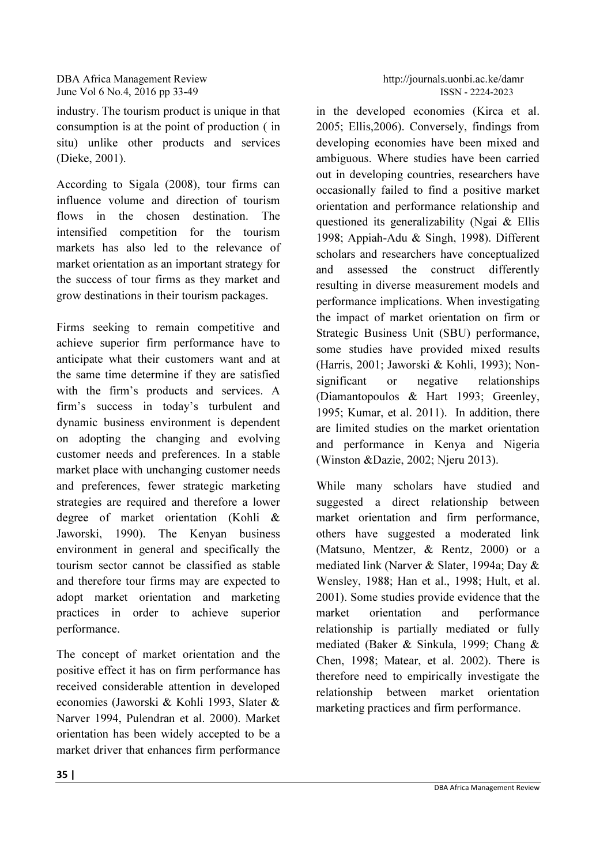industry. The tourism product is unique in that consumption is at the point of production ( in situ) unlike other products and services (Dieke, 2001).

According to Sigala (2008), tour firms can influence volume and direction of tourism flows in the chosen destination. The intensified competition for the tourism markets has also led to the relevance of market orientation as an important strategy for the success of tour firms as they market and grow destinations in their tourism packages.

Firms seeking to remain competitive and achieve superior firm performance have to anticipate what their customers want and at the same time determine if they are satisfied with the firm's products and services. A firm's success in today's turbulent and dynamic business environment is dependent on adopting the changing and evolving customer needs and preferences. In a stable market place with unchanging customer needs and preferences, fewer strategic marketing strategies are required and therefore a lower degree of market orientation (Kohli & Jaworski, 1990). The Kenyan business environment in general and specifically the tourism sector cannot be classified as stable and therefore tour firms may are expected to adopt market orientation and marketing practices in order to achieve superior performance.

The concept of market orientation and the positive effect it has on firm performance has received considerable attention in developed economies (Jaworski & Kohli 1993, Slater & Narver 1994, Pulendran et al. 2000). Market orientation has been widely accepted to be a market driver that enhances firm performance in the developed economies (Kirca et al. 2005; Ellis,2006). Conversely, findings from developing economies have been mixed and ambiguous. Where studies have been carried out in developing countries, researchers have occasionally failed to find a positive market orientation and performance relationship and questioned its generalizability (Ngai & Ellis 1998; Appiah-Adu & Singh, 1998). Different scholars and researchers have conceptualized and assessed the construct differently resulting in diverse measurement models and performance implications. When investigating the impact of market orientation on firm or Strategic Business Unit (SBU) performance, some studies have provided mixed results (Harris, 2001; Jaworski & Kohli, 1993); Nonsignificant or negative relationships (Diamantopoulos & Hart 1993; Greenley, 1995; Kumar, et al. 2011). In addition, there are limited studies on the market orientation and performance in Kenya and Nigeria (Winston &Dazie, 2002; Njeru 2013).

While many scholars have studied and suggested a direct relationship between market orientation and firm performance, others have suggested a moderated link (Matsuno, Mentzer, & Rentz, 2000) or a mediated link (Narver & Slater, 1994a; Day & Wensley, 1988; Han et al., 1998; Hult, et al. 2001). Some studies provide evidence that the market orientation and performance relationship is partially mediated or fully mediated (Baker & Sinkula, 1999; Chang & Chen, 1998; Matear, et al. 2002). There is therefore need to empirically investigate the relationship between market orientation marketing practices and firm performance.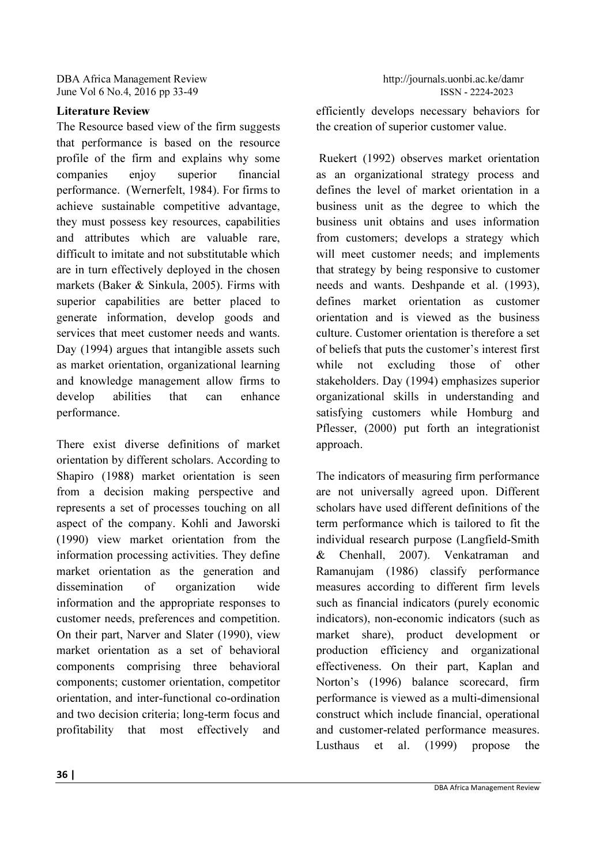# Literature Review

The Resource based view of the firm suggests that performance is based on the resource profile of the firm and explains why some companies enjoy superior financial performance. (Wernerfelt, 1984). For firms to achieve sustainable competitive advantage, they must possess key resources, capabilities and attributes which are valuable rare, difficult to imitate and not substitutable which are in turn effectively deployed in the chosen markets (Baker & Sinkula, 2005). Firms with superior capabilities are better placed to generate information, develop goods and services that meet customer needs and wants. Day (1994) argues that intangible assets such as market orientation, organizational learning and knowledge management allow firms to develop abilities that can enhance performance.

There exist diverse definitions of market orientation by different scholars. According to Shapiro (1988) market orientation is seen from a decision making perspective and represents a set of processes touching on all aspect of the company. Kohli and Jaworski (1990) view market orientation from the information processing activities. They define market orientation as the generation and dissemination of organization wide information and the appropriate responses to customer needs, preferences and competition. On their part, Narver and Slater (1990), view market orientation as a set of behavioral components comprising three behavioral components; customer orientation, competitor orientation, and inter-functional co-ordination and two decision criteria; long-term focus and profitability that most effectively and

efficiently develops necessary behaviors for the creation of superior customer value.

 Ruekert (1992) observes market orientation as an organizational strategy process and defines the level of market orientation in a business unit as the degree to which the business unit obtains and uses information from customers; develops a strategy which will meet customer needs; and implements that strategy by being responsive to customer needs and wants. Deshpande et al. (1993), defines market orientation as customer orientation and is viewed as the business culture. Customer orientation is therefore a set of beliefs that puts the customer's interest first while not excluding those of other stakeholders. Day (1994) emphasizes superior organizational skills in understanding and satisfying customers while Homburg and Pflesser, (2000) put forth an integrationist approach.

The indicators of measuring firm performance are not universally agreed upon. Different scholars have used different definitions of the term performance which is tailored to fit the individual research purpose (Langfield-Smith & Chenhall, 2007). Venkatraman and Ramanujam (1986) classify performance measures according to different firm levels such as financial indicators (purely economic indicators), non-economic indicators (such as market share), product development or production efficiency and organizational effectiveness. On their part, Kaplan and Norton's (1996) balance scorecard, firm performance is viewed as a multi-dimensional construct which include financial, operational and customer-related performance measures. Lusthaus et al. (1999) propose the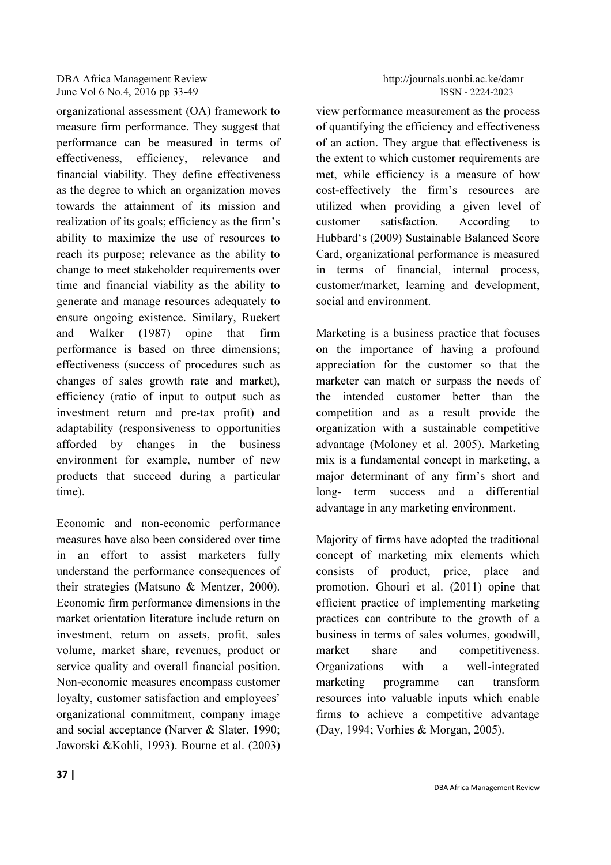organizational assessment (OA) framework to measure firm performance. They suggest that performance can be measured in terms of effectiveness, efficiency, relevance and financial viability. They define effectiveness as the degree to which an organization moves towards the attainment of its mission and realization of its goals; efficiency as the firm's ability to maximize the use of resources to reach its purpose; relevance as the ability to change to meet stakeholder requirements over time and financial viability as the ability to generate and manage resources adequately to ensure ongoing existence. Similary, Ruekert and Walker (1987) opine that firm performance is based on three dimensions; effectiveness (success of procedures such as changes of sales growth rate and market), efficiency (ratio of input to output such as investment return and pre-tax profit) and adaptability (responsiveness to opportunities afforded by changes in the business environment for example, number of new products that succeed during a particular time).

Economic and non-economic performance measures have also been considered over time in an effort to assist marketers fully understand the performance consequences of their strategies (Matsuno & Mentzer, 2000). Economic firm performance dimensions in the market orientation literature include return on investment, return on assets, profit, sales volume, market share, revenues, product or service quality and overall financial position. Non-economic measures encompass customer loyalty, customer satisfaction and employees' organizational commitment, company image and social acceptance (Narver & Slater, 1990; Jaworski &Kohli, 1993). Bourne et al. (2003) view performance measurement as the process of quantifying the efficiency and effectiveness of an action. They argue that effectiveness is the extent to which customer requirements are met, while efficiency is a measure of how cost-effectively the firm's resources are utilized when providing a given level of customer satisfaction. According to Hubbard's (2009) Sustainable Balanced Score Card, organizational performance is measured in terms of financial, internal process, customer/market, learning and development, social and environment.

Marketing is a business practice that focuses on the importance of having a profound appreciation for the customer so that the marketer can match or surpass the needs of the intended customer better than the competition and as a result provide the organization with a sustainable competitive advantage (Moloney et al. 2005). Marketing mix is a fundamental concept in marketing, a major determinant of any firm's short and long- term success and a differential advantage in any marketing environment.

Majority of firms have adopted the traditional concept of marketing mix elements which consists of product, price, place and promotion. Ghouri et al. (2011) opine that efficient practice of implementing marketing practices can contribute to the growth of a business in terms of sales volumes, goodwill, market share and competitiveness. Organizations with a well-integrated marketing programme can transform resources into valuable inputs which enable firms to achieve a competitive advantage (Day, 1994; Vorhies & Morgan, 2005).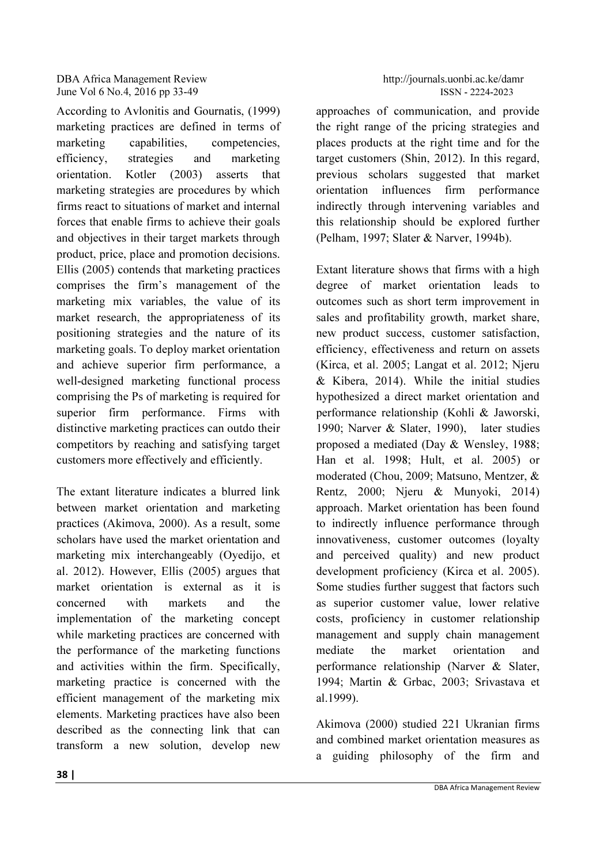According to Avlonitis and Gournatis, (1999) marketing practices are defined in terms of marketing capabilities, competencies, efficiency, strategies and marketing orientation. Kotler (2003) asserts that marketing strategies are procedures by which firms react to situations of market and internal forces that enable firms to achieve their goals and objectives in their target markets through product, price, place and promotion decisions. Ellis (2005) contends that marketing practices comprises the firm's management of the marketing mix variables, the value of its market research, the appropriateness of its positioning strategies and the nature of its marketing goals. To deploy market orientation and achieve superior firm performance, a well-designed marketing functional process comprising the Ps of marketing is required for superior firm performance. Firms with distinctive marketing practices can outdo their competitors by reaching and satisfying target customers more effectively and efficiently.

The extant literature indicates a blurred link between market orientation and marketing practices (Akimova, 2000). As a result, some scholars have used the market orientation and marketing mix interchangeably (Oyedijo, et al. 2012). However, Ellis (2005) argues that market orientation is external as it is concerned with markets and the implementation of the marketing concept while marketing practices are concerned with the performance of the marketing functions and activities within the firm. Specifically, marketing practice is concerned with the efficient management of the marketing mix elements. Marketing practices have also been described as the connecting link that can transform a new solution, develop new

approaches of communication, and provide the right range of the pricing strategies and places products at the right time and for the target customers (Shin, 2012). In this regard, previous scholars suggested that market orientation influences firm performance indirectly through intervening variables and this relationship should be explored further (Pelham, 1997; Slater & Narver, 1994b).

Extant literature shows that firms with a high degree of market orientation leads to outcomes such as short term improvement in sales and profitability growth, market share, new product success, customer satisfaction, efficiency, effectiveness and return on assets (Kirca, et al. 2005; Langat et al. 2012; Njeru & Kibera, 2014). While the initial studies hypothesized a direct market orientation and performance relationship (Kohli & Jaworski, 1990; Narver & Slater, 1990), later studies proposed a mediated (Day & Wensley, 1988; Han et al. 1998; Hult, et al. 2005) or moderated (Chou, 2009; Matsuno, Mentzer, & Rentz, 2000; Njeru & Munyoki, 2014) approach. Market orientation has been found to indirectly influence performance through innovativeness, customer outcomes (loyalty and perceived quality) and new product development proficiency (Kirca et al. 2005). Some studies further suggest that factors such as superior customer value, lower relative costs, proficiency in customer relationship management and supply chain management mediate the market orientation and performance relationship (Narver & Slater, 1994; Martin & Grbac, 2003; Srivastava et al.1999).

Akimova (2000) studied 221 Ukranian firms and combined market orientation measures as a guiding philosophy of the firm and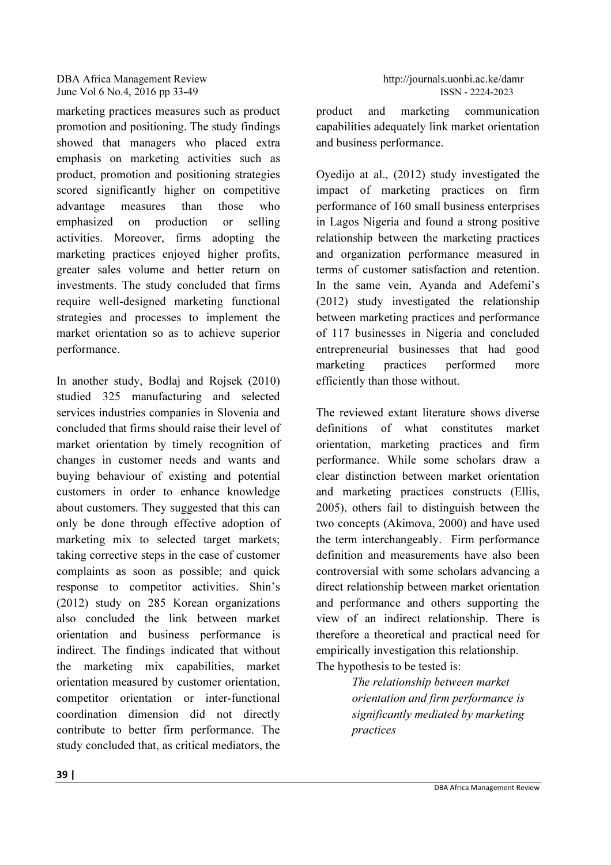marketing practices measures such as product promotion and positioning. The study findings showed that managers who placed extra emphasis on marketing activities such as product, promotion and positioning strategies scored significantly higher on competitive advantage measures than those who emphasized on production or selling activities. Moreover, firms adopting the marketing practices enjoyed higher profits, greater sales volume and better return on investments. The study concluded that firms require well-designed marketing functional strategies and processes to implement the market orientation so as to achieve superior performance.

In another study, Bodlaj and Rojsek (2010) studied 325 manufacturing and selected services industries companies in Slovenia and concluded that firms should raise their level of market orientation by timely recognition of changes in customer needs and wants and buying behaviour of existing and potential customers in order to enhance knowledge about customers. They suggested that this can only be done through effective adoption of marketing mix to selected target markets; taking corrective steps in the case of customer complaints as soon as possible; and quick response to competitor activities. Shin's (2012) study on 285 Korean organizations also concluded the link between market orientation and business performance is indirect. The findings indicated that without the marketing mix capabilities, market orientation measured by customer orientation, competitor orientation or inter-functional coordination dimension did not directly contribute to better firm performance. The study concluded that, as critical mediators, the product and marketing communication capabilities adequately link market orientation and business performance.

Oyedijo at al., (2012) study investigated the impact of marketing practices on firm performance of 160 small business enterprises in Lagos Nigeria and found a strong positive relationship between the marketing practices and organization performance measured in terms of customer satisfaction and retention. In the same vein, Ayanda and Adefemi's (2012) study investigated the relationship between marketing practices and performance of 117 businesses in Nigeria and concluded entrepreneurial businesses that had good marketing practices performed more efficiently than those without.

The reviewed extant literature shows diverse definitions of what constitutes market orientation, marketing practices and firm performance. While some scholars draw a clear distinction between market orientation and marketing practices constructs (Ellis, 2005), others fail to distinguish between the two concepts (Akimova, 2000) and have used the term interchangeably. Firm performance definition and measurements have also been controversial with some scholars advancing a direct relationship between market orientation and performance and others supporting the view of an indirect relationship. There is therefore a theoretical and practical need for empirically investigation this relationship. The hypothesis to be tested is:

> The relationship between market orientation and firm performance is significantly mediated by marketing practices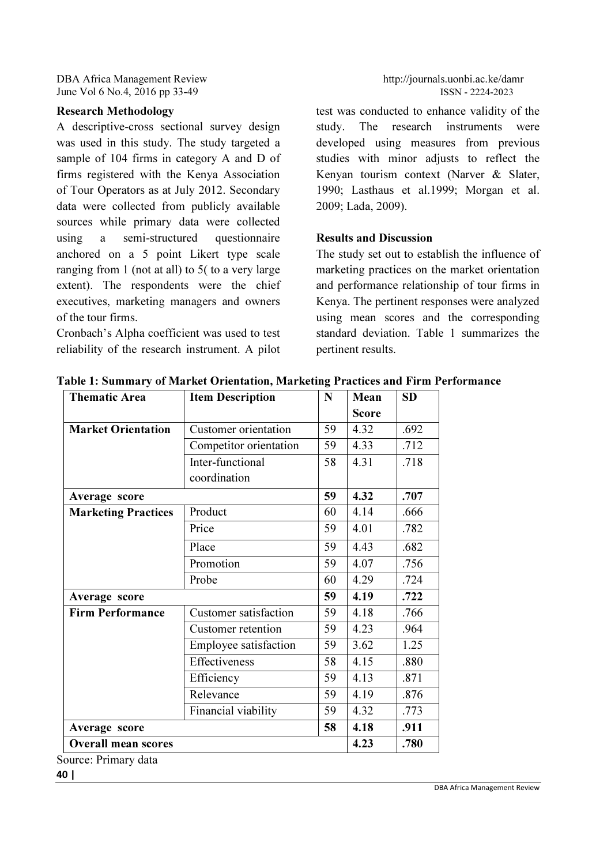# Research Methodology

A descriptive-cross sectional survey design was used in this study. The study targeted a sample of 104 firms in category A and D of firms registered with the Kenya Association of Tour Operators as at July 2012. Secondary data were collected from publicly available sources while primary data were collected using a semi-structured questionnaire anchored on a 5 point Likert type scale ranging from 1 (not at all) to 5( to a very large extent). The respondents were the chief executives, marketing managers and owners of the tour firms.

Cronbach's Alpha coefficient was used to test reliability of the research instrument. A pilot

test was conducted to enhance validity of the study. The research instruments were developed using measures from previous studies with minor adjusts to reflect the Kenyan tourism context (Narver & Slater, 1990; Lasthaus et al.1999; Morgan et al. 2009; Lada, 2009).

# Results and Discussion

The study set out to establish the influence of marketing practices on the market orientation and performance relationship of tour firms in Kenya. The pertinent responses were analyzed using mean scores and the corresponding standard deviation. Table 1 summarizes the pertinent results.

|                              |    |              | <b>SD</b>                                            |  |  |
|------------------------------|----|--------------|------------------------------------------------------|--|--|
|                              |    | <b>Score</b> |                                                      |  |  |
| Customer orientation         | 59 | 4.32         | .692                                                 |  |  |
| Competitor orientation       | 59 | 4.33         | .712                                                 |  |  |
| Inter-functional             | 58 | 4.31         | .718                                                 |  |  |
| coordination                 |    |              |                                                      |  |  |
|                              | 59 | 4.32         | .707                                                 |  |  |
| Product                      | 60 | 4.14         | .666                                                 |  |  |
| Price                        | 59 | 4.01         | .782                                                 |  |  |
| Place                        | 59 | 4.43         | .682                                                 |  |  |
| Promotion                    | 59 | 4.07         | .756                                                 |  |  |
| Probe                        | 60 | 4.29         | .724                                                 |  |  |
|                              | 59 | 4.19         | .722                                                 |  |  |
| <b>Customer satisfaction</b> | 59 | 4.18         | .766                                                 |  |  |
| Customer retention           | 59 | 4.23         | .964                                                 |  |  |
| Employee satisfaction        | 59 | 3.62         | 1.25                                                 |  |  |
| Effectiveness                | 58 | 4.15         | .880                                                 |  |  |
| Efficiency                   | 59 | 4.13         | .871                                                 |  |  |
| Relevance                    | 59 | 4.19         | .876                                                 |  |  |
| Financial viability          | 59 | 4.32         | .773                                                 |  |  |
| Average score                |    |              |                                                      |  |  |
| <b>Overall mean scores</b>   |    |              |                                                      |  |  |
|                              |    | 58           | N<br><b>Item Description</b><br>Mean<br>4.18<br>4.23 |  |  |

Table 1: Summary of Market Orientation, Marketing Practices and Firm Performance

vurce: Primary data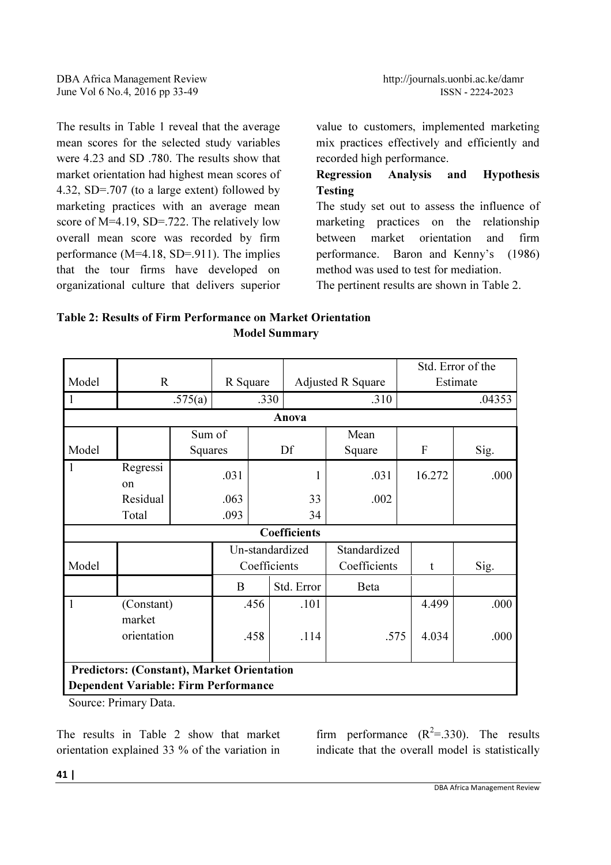The results in Table 1 reveal that the average mean scores for the selected study variables were 4.23 and SD .780. The results show that market orientation had highest mean scores of 4.32, SD=.707 (to a large extent) followed by marketing practices with an average mean score of M=4.19, SD=.722. The relatively low overall mean score was recorded by firm performance (M=4.18, SD=.911). The implies that the tour firms have developed on organizational culture that delivers superior

value to customers, implemented marketing mix practices effectively and efficiently and recorded high performance.

# Regression Analysis and Hypothesis Testing

The study set out to assess the influence of marketing practices on the relationship between market orientation and firm performance. Baron and Kenny's (1986) method was used to test for mediation.

The pertinent results are shown in Table 2.

| Table 2: Results of Firm Performance on Market Orientation |                      |
|------------------------------------------------------------|----------------------|
|                                                            | <b>Model Summary</b> |

|                                                   |                                             |         |                 |      |                     |                          | Std. Error of the |          |  |  |
|---------------------------------------------------|---------------------------------------------|---------|-----------------|------|---------------------|--------------------------|-------------------|----------|--|--|
| Model                                             | R                                           |         | R Square        |      |                     | <b>Adjusted R Square</b> |                   | Estimate |  |  |
|                                                   |                                             | .575(a) |                 | .330 |                     | .310                     |                   | .04353   |  |  |
|                                                   | Anova                                       |         |                 |      |                     |                          |                   |          |  |  |
|                                                   |                                             | Sum of  |                 |      |                     | Mean                     |                   |          |  |  |
| Model                                             |                                             | Squares |                 |      | Df                  | Square                   | F                 | Sig.     |  |  |
| $\mathbf{1}$                                      | Regressi<br>$\alpha$                        |         | .031            |      | 1                   | .031                     | 16.272            | .000     |  |  |
|                                                   | Residual                                    |         | .063            |      | 33                  | .002                     |                   |          |  |  |
|                                                   | Total                                       |         | .093            | 34   |                     |                          |                   |          |  |  |
|                                                   |                                             |         |                 |      | <b>Coefficients</b> |                          |                   |          |  |  |
|                                                   |                                             |         | Un-standardized |      |                     | Standardized             |                   |          |  |  |
| Model                                             |                                             |         | Coefficients    |      | Coefficients        | t                        | Sig.              |          |  |  |
|                                                   |                                             |         | B               |      | Std. Error          | Beta                     |                   |          |  |  |
| $\mathbf{1}$                                      | (Constant)<br>market                        |         |                 | .456 | .101                |                          | 4.499             | .000     |  |  |
|                                                   | orientation                                 |         |                 | .458 | .114                | .575                     | 4.034             | .000     |  |  |
| <b>Predictors: (Constant), Market Orientation</b> |                                             |         |                 |      |                     |                          |                   |          |  |  |
|                                                   | <b>Dependent Variable: Firm Performance</b> |         |                 |      |                     |                          |                   |          |  |  |

Source: Primary Data.

The results in Table 2 show that market orientation explained 33 % of the variation in

firm performance  $(R^2 = .330)$ . The results indicate that the overall model is statistically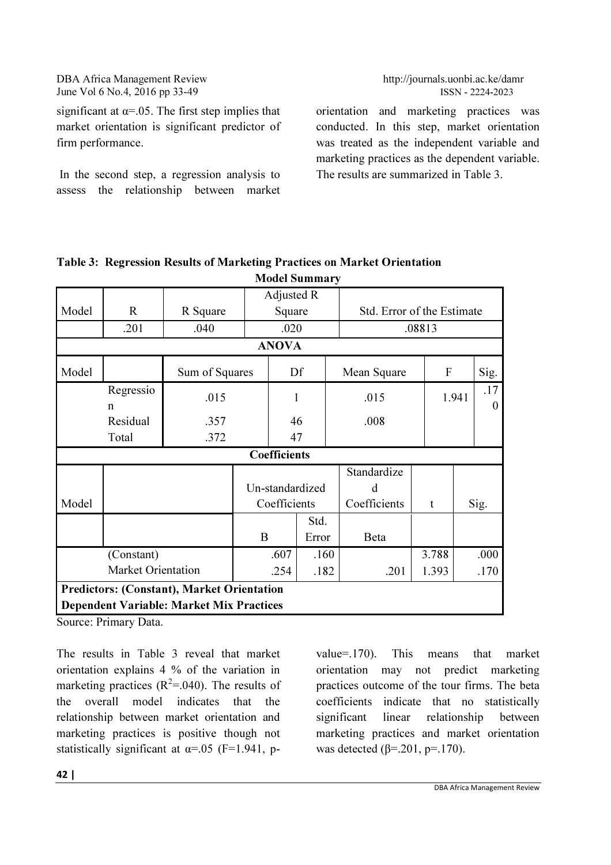significant at  $\alpha$ =.05. The first step implies that market orientation is significant predictor of firm performance.

 In the second step, a regression analysis to assess the relationship between market

orientation and marketing practices was conducted. In this step, market orientation was treated as the independent variable and marketing practices as the dependent variable. The results are summarized in Table 3.

|                                                   |                                                 |                | Adjusted R |                 |       |                            |        |  |                       |  |
|---------------------------------------------------|-------------------------------------------------|----------------|------------|-----------------|-------|----------------------------|--------|--|-----------------------|--|
| Model                                             | $\mathbf R$                                     | R Square       |            | Square          |       | Std. Error of the Estimate |        |  |                       |  |
|                                                   | .201                                            | .040           |            | .020            |       |                            | .08813 |  |                       |  |
| <b>ANOVA</b>                                      |                                                 |                |            |                 |       |                            |        |  |                       |  |
| Model                                             |                                                 | Sum of Squares |            | Df              |       | Mean Square                | F      |  |                       |  |
|                                                   | Regressio<br>$\mathsf{n}$                       | .015           |            | 1               |       | .015                       | 1.941  |  | .17<br>$\overline{0}$ |  |
|                                                   | Residual                                        | .357           |            | 46              |       | .008                       |        |  |                       |  |
|                                                   | Total                                           | .372           |            | 47              |       |                            |        |  |                       |  |
|                                                   |                                                 |                |            | Coefficients    |       |                            |        |  |                       |  |
|                                                   |                                                 |                |            |                 |       | Standardize                |        |  |                       |  |
|                                                   |                                                 |                |            | Un-standardized |       | d                          |        |  |                       |  |
| Model                                             |                                                 |                |            | Coefficients    |       | Coefficients               | t      |  | Sig.                  |  |
|                                                   |                                                 |                |            |                 | Std.  |                            |        |  |                       |  |
|                                                   |                                                 |                | B          |                 | Error | Beta                       |        |  |                       |  |
|                                                   | (Constant)                                      |                |            | .607            | .160  |                            | 3.788  |  | .000                  |  |
|                                                   |                                                 | .254           | .182       | .201            | 1.393 |                            | .170   |  |                       |  |
| <b>Predictors: (Constant), Market Orientation</b> |                                                 |                |            |                 |       |                            |        |  |                       |  |
|                                                   | <b>Dependent Variable: Market Mix Practices</b> |                |            |                 |       |                            |        |  |                       |  |

#### Table 3: Regression Results of Marketing Practices on Market Orientation Model Summary

Source: Primary Data.

The results in Table 3 reveal that market orientation explains 4 % of the variation in marketing practices  $(R^2 = .040)$ . The results of the overall model indicates that the relationship between market orientation and marketing practices is positive though not statistically significant at  $\alpha$ =.05 (F=1.941, pvalue=.170). This means that market orientation may not predict marketing practices outcome of the tour firms. The beta coefficients indicate that no statistically significant linear relationship between marketing practices and market orientation was detected (β=.201, p=.170).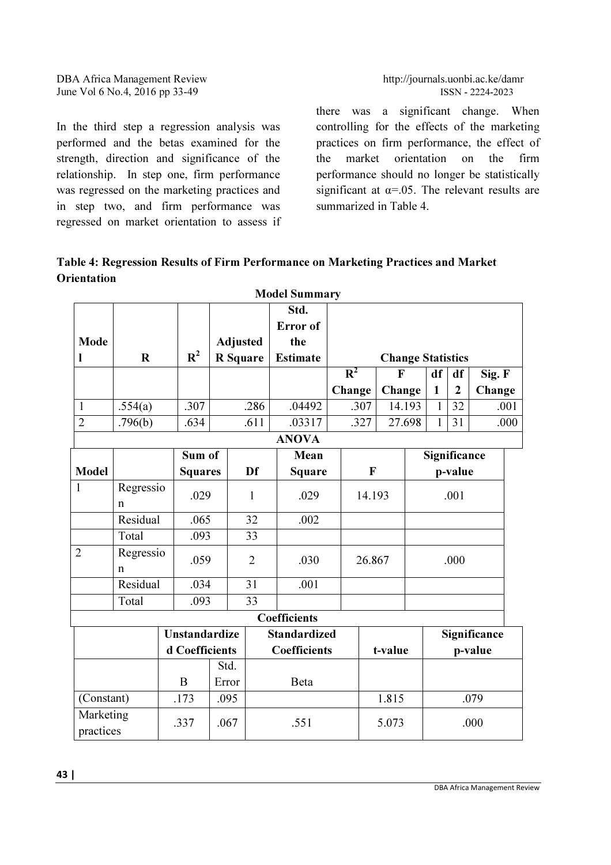In the third step a regression analysis was performed and the betas examined for the strength, direction and significance of the relationship. In step one, firm performance was regressed on the marketing practices and in step two, and firm performance was regressed on market orientation to assess if

there was a significant change. When controlling for the effects of the marketing practices on firm performance, the effect of the market orientation on the firm performance should no longer be statistically significant at  $\alpha$ =.05. The relevant results are summarized in Table 4.

Table 4: Regression Results of Firm Performance on Marketing Practices and Market **Orientation** 

|                        |             |                      |                |                                                                |                         | <b>Model Summary</b> |        |        |              |              |                |              |      |
|------------------------|-------------|----------------------|----------------|----------------------------------------------------------------|-------------------------|----------------------|--------|--------|--------------|--------------|----------------|--------------|------|
|                        |             |                      |                |                                                                |                         | Std.                 |        |        |              |              |                |              |      |
|                        |             |                      |                |                                                                |                         | Error of             |        |        |              |              |                |              |      |
| Mode                   |             |                      |                | <b>Adjusted</b>                                                |                         | the                  |        |        |              |              |                |              |      |
| I                      | $\mathbf R$ |                      | $\mathbf{R}^2$ | <b>Estimate</b><br><b>R</b> Square<br><b>Change Statistics</b> |                         |                      |        |        |              |              |                |              |      |
|                        |             |                      |                |                                                                |                         |                      | $R^2$  |        | $\mathbf{F}$ | df           | df             | Sig. F       |      |
|                        |             |                      |                |                                                                |                         |                      | Change |        | Change       | $\mathbf{1}$ | $\overline{2}$ | Change       |      |
| $\mathbf{1}$           | .554(a)     |                      | .307           |                                                                | .286                    | .04492               |        | .307   | 14.193       | $\mathbf{1}$ | 32             |              | .001 |
| $\overline{2}$         | .796(b)     |                      | .634           |                                                                | .611                    | .03317               |        | .327   | 27.698       | 1            | 31             |              | .000 |
|                        |             |                      |                |                                                                |                         | <b>ANOVA</b>         |        |        |              |              |                |              |      |
|                        |             |                      | Sum of         |                                                                |                         | Mean                 |        |        |              | Significance |                |              |      |
| <b>Model</b>           |             |                      | <b>Squares</b> |                                                                | Df                      | <b>Square</b>        |        | F      |              |              | p-value        |              |      |
| 1                      | Regressio   |                      | .029           |                                                                | 1                       | .029                 |        | 14.193 |              | .001         |                |              |      |
|                        | n           |                      |                |                                                                |                         |                      |        |        |              |              |                |              |      |
|                        | Residual    |                      | .065           |                                                                | 32                      | .002                 |        |        |              |              |                |              |      |
|                        | Total       |                      | .093           |                                                                | 33                      |                      |        |        |              |              |                |              |      |
| $\overline{2}$         | Regressio   |                      | .059           |                                                                | $\overline{2}$          | .030                 |        |        |              |              | .000           |              |      |
|                        | n           |                      |                |                                                                |                         |                      |        |        | 26.867       |              |                |              |      |
|                        | Residual    |                      | .034           |                                                                | 31                      | .001                 |        |        |              |              |                |              |      |
|                        | Total       |                      | .093           |                                                                | 33                      |                      |        |        |              |              |                |              |      |
|                        |             |                      |                |                                                                |                         | Coefficients         |        |        |              |              |                |              |      |
|                        |             | <b>Unstandardize</b> |                |                                                                |                         | <b>Standardized</b>  |        |        |              |              |                | Significance |      |
|                        |             | d Coefficients       |                |                                                                | Coefficients<br>t-value |                      |        |        |              | p-value      |                |              |      |
|                        |             |                      |                | Std.                                                           |                         |                      |        |        |              |              |                |              |      |
|                        |             | B                    |                | Error                                                          |                         | Beta                 |        |        |              |              |                |              |      |
| (Constant)             |             | .173                 |                | .095                                                           |                         |                      |        |        | 1.815        |              |                | .079         |      |
| Marketing<br>practices |             | .337                 |                | .067                                                           |                         | .551                 |        |        | 5.073        |              |                | .000         |      |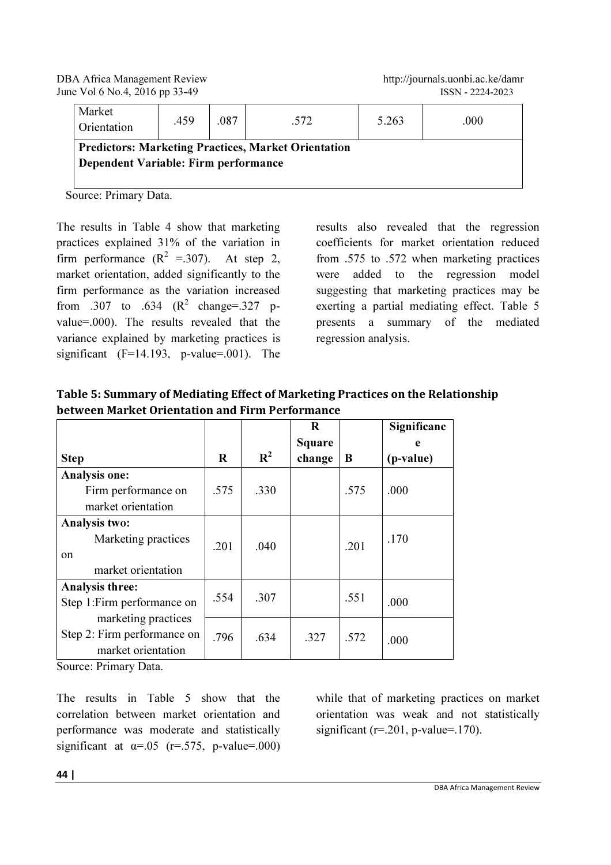| Market<br>Orientation                | .459 | .087 | .572                                                       | 5.263 | .000 |
|--------------------------------------|------|------|------------------------------------------------------------|-------|------|
| Dependent Variable: Firm performance |      |      | <b>Predictors: Marketing Practices, Market Orientation</b> |       |      |

Source: Primary Data.

The results in Table 4 show that marketing practices explained 31% of the variation in firm performance  $(R^2 = 0.307)$ . At step 2, market orientation, added significantly to the firm performance as the variation increased from .307 to .634  $(R^2 \text{ change} = .327 \text{ p} - )$ value=.000). The results revealed that the variance explained by marketing practices is significant  $(F=14.193, p-value=0.01)$ . The

results also revealed that the regression coefficients for market orientation reduced from .575 to .572 when marketing practices were added to the regression model suggesting that marketing practices may be exerting a partial mediating effect. Table 5 presents a summary of the mediated regression analysis.

| Table 5: Summary of Mediating Effect of Marketing Practices on the Relationship |
|---------------------------------------------------------------------------------|
| between Market Orientation and Firm Performance                                 |

|                             |      |                | R             |      | Significanc |
|-----------------------------|------|----------------|---------------|------|-------------|
|                             |      |                | <b>Square</b> |      | e           |
| <b>Step</b>                 | R    | $\mathbf{R}^2$ | change        | B    | (p-value)   |
| <b>Analysis one:</b>        |      |                |               |      |             |
| Firm performance on         | .575 | .330           |               | .575 | .000        |
| market orientation          |      |                |               |      |             |
| Analysis two:               |      |                |               |      |             |
| Marketing practices         |      |                |               | .201 | .170        |
| on                          | .201 | .040           |               |      |             |
| market orientation          |      |                |               |      |             |
| Analysis three:             |      |                |               |      |             |
| Step 1: Firm performance on | .554 | .307           |               | .551 | .000        |
| marketing practices         |      |                |               |      |             |
| Step 2: Firm performance on | .796 | .634           | .327          | .572 | .000        |
| market orientation          |      |                |               |      |             |
| $\mathbf{r}$                |      |                |               |      |             |

Source: Primary Data.

The results in Table 5 show that the correlation between market orientation and performance was moderate and statistically significant at  $\alpha$ =.05 (r=.575, p-value=.000) while that of marketing practices on market orientation was weak and not statistically significant ( $r = 0.201$ ,  $p$ -value= $(170)$ .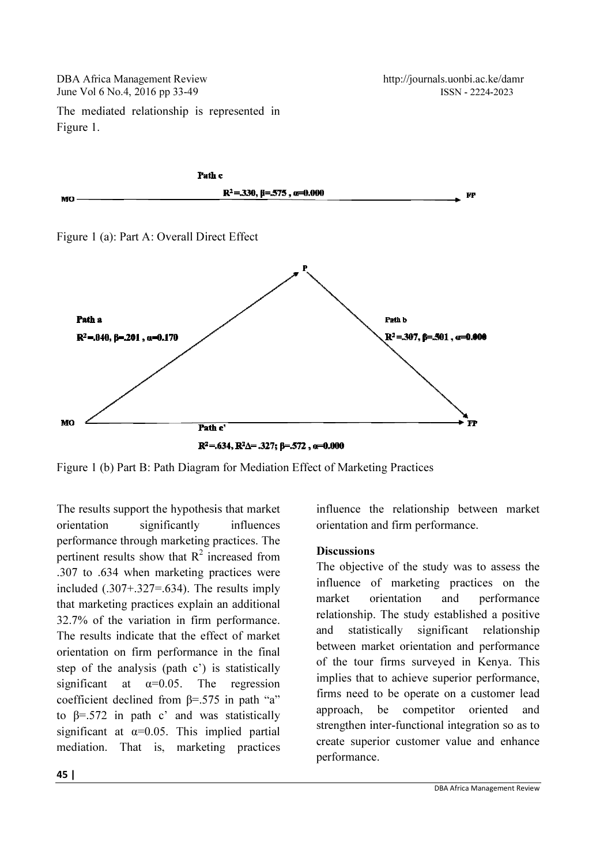DBA Africa Management Review June Vol 6 No.4, 2016 pp 33-49

http://journals.uonbi.ac.ke/damr http://journals.uonbi.ac.ke/damr ISSN - 2224-2023

The mediated relationship is represented in Figure 1.



Figure 1 (b) Part B: Path Diagram for Mediation Effect of Marketing Practices

The results support the hypothesis that market orientation significantly influences performance through marketing practices. The pertinent results show that  $R^2$  increased from .307 to .634 when marketing practices were included (.307+.327=.634). The results imply that marketing practices explain an additional 32.7% of the variation in firm perfor The results indicate that the effect of market orientation on firm performance in the final step of the analysis (path c') is statistically significant at  $\alpha=0.05$ . The regression coefficient declined from β=.575 in path "a" to  $\beta = .572$  in path c' and was statistically significant at  $\alpha$ =0.05. This implied partial mediation. That is, marketing practices ance through marketing practices. The<br>t results show that  $R^2$  increased from<br>.634 when marketing practices were<br> $1(.307+.327=.634)$ . The results imply<br>keting practices explain an additional<br>of the variation in firm perform Figure 1 (b) Part B: Path Diagram for Mediation Effect of Marketing Practices<br>
The results support the hypothesis that market<br>
orientation significantly influences<br>
performance through marketing practices. The<br>
pertinent

orientation and firm performance.

#### **Discussions**

Something that market<br>
influences<br>
increased from<br>
increased from<br>
practices were<br>
influence of the study was to assess the<br>
e results imply<br>
influence of marketing practices on the<br>
man additional<br>
influence of marketing The objective of the study was to assess the influence of marketing practices on the market orientation and performance relationship. The study established a positive and statistically significant relationship between market orientation and performance of the tour firms surveyed in Kenya. This implies that to achieve superior performance, firms need to be operate on a customer lead approach, be competitor oriented and strengthen inter-functional integration so as to create superior customer value and enhance performance. market orientation and performance<br>relationship. The study established a positive<br>and statistically significant relationship<br>between market orientation and performance<br>of the tour firms surveyed in Kenya. This<br>implies that firms need to be operate on a customer lead approach, be competitor oriented and strengthen inter-functional integration so as to create superior customer value and enhance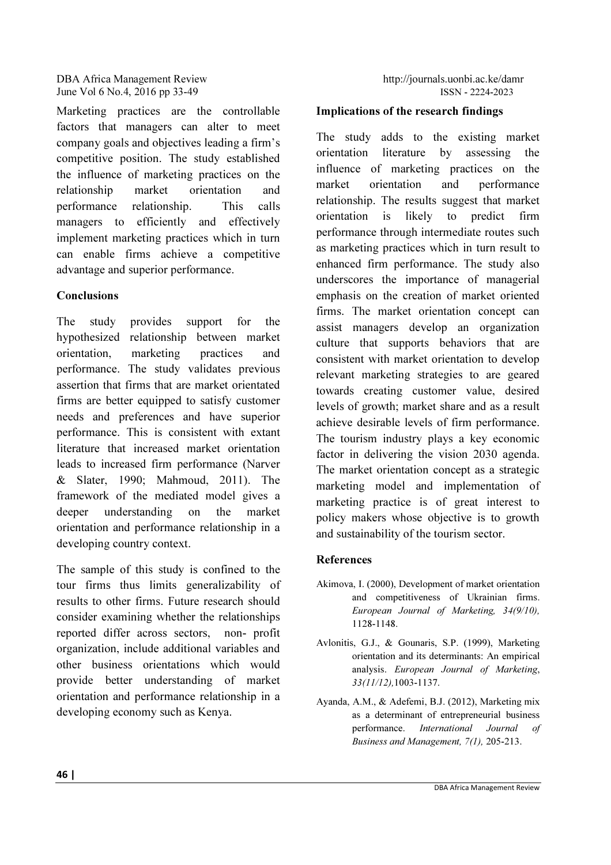Marketing practices are the controllable factors that managers can alter to meet company goals and objectives leading a firm's competitive position. The study established the influence of marketing practices on the relationship market orientation and performance relationship. This calls managers to efficiently and effectively implement marketing practices which in turn can enable firms achieve a competitive advantage and superior performance.

# **Conclusions**

The study provides support for the hypothesized relationship between market orientation, marketing practices and performance. The study validates previous assertion that firms that are market orientated firms are better equipped to satisfy customer needs and preferences and have superior performance. This is consistent with extant literature that increased market orientation leads to increased firm performance (Narver & Slater, 1990; Mahmoud, 2011). The framework of the mediated model gives a deeper understanding on the market orientation and performance relationship in a developing country context.

The sample of this study is confined to the tour firms thus limits generalizability of results to other firms. Future research should consider examining whether the relationships reported differ across sectors, non- profit organization, include additional variables and other business orientations which would provide better understanding of market orientation and performance relationship in a developing economy such as Kenya.

# Implications of the research findings

The study adds to the existing market orientation literature by assessing the influence of marketing practices on the market orientation and performance relationship. The results suggest that market orientation is likely to predict firm performance through intermediate routes such as marketing practices which in turn result to enhanced firm performance. The study also underscores the importance of managerial emphasis on the creation of market oriented firms. The market orientation concept can assist managers develop an organization culture that supports behaviors that are consistent with market orientation to develop relevant marketing strategies to are geared towards creating customer value, desired levels of growth; market share and as a result achieve desirable levels of firm performance. The tourism industry plays a key economic factor in delivering the vision 2030 agenda. The market orientation concept as a strategic marketing model and implementation of marketing practice is of great interest to policy makers whose objective is to growth and sustainability of the tourism sector.

# **References**

- Akimova, I. (2000), Development of market orientation and competitiveness of Ukrainian firms. *European Journal of Marketing, 34(9/10),* 1128-1148.
- Avlonitis, G.J., & Gounaris, S.P. (1999), Marketing orientation and its determinants: An empirical analysis. *European Journal of Marketing*, *33(11/12),*1003-1137.
- Ayanda, A.M., & Adefemi, B.J. (2012), Marketing mix as a determinant of entrepreneurial business performance. *International Journal of Business and Management, 7(1),* 205-213.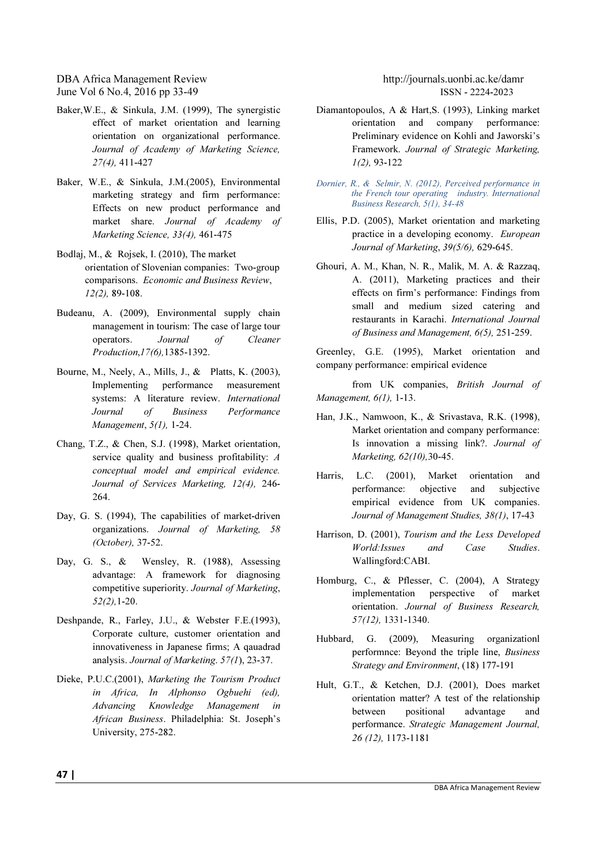- Baker,W.E., & Sinkula, J.M. (1999), The synergistic effect of market orientation and learning orientation on organizational performance. *Journal of Academy of Marketing Science, 27(4),* 411-427
- Baker, W.E., & Sinkula, J.M.(2005), Environmental marketing strategy and firm performance: Effects on new product performance and market share. *Journal of Academy of Marketing Science, 33(4),* 461-475
- Bodlaj, M., & Rojsek, I. (2010), The market orientation of Slovenian companies: Two-group comparisons. *Economic and Business Review*, *12(2),* 89-108.
- Budeanu, A. (2009), Environmental supply chain management in tourism: The case of large tour operators. *Journal of Cleaner Production*,*17(6),*1385-1392.
- Bourne, M., Neely, A., Mills, J., & Platts, K. (2003), Implementing performance measurement systems: A literature review. *International Journal of Business Performance Management*, *5(1),* 1-24.
- Chang, T.Z., & Chen, S.J. (1998), Market orientation, service quality and business profitability: *A conceptual model and empirical evidence. Journal of Services Marketing, 12(4),* 246- 264.
- Day, G. S. (1994), The capabilities of market-driven organizations. *Journal of Marketing, 58 (October),* 37-52.
- Day, G. S., & Wensley, R. (1988), Assessing advantage: A framework for diagnosing competitive superiority. *Journal of Marketing*, *52(2),*1-20.
- Deshpande, R., Farley, J.U., & Webster F.E.(1993), Corporate culture, customer orientation and innovativeness in Japanese firms; A qauadrad analysis. *Journal of Marketing*. *57(1*), 23-37.
- Dieke, P.U.C.(2001), *Marketing the Tourism Product in Africa, In Alphonso Ogbuehi (ed), Advancing Knowledge Management in African Business*. Philadelphia: St. Joseph's University, 275-282.

- Diamantopoulos, A & Hart,S. (1993), Linking market orientation and company performance: Preliminary evidence on Kohli and Jaworski's Framework. *Journal of Strategic Marketing, 1(2),* 93-122
- Dornier, R., & Selmir, N. (2012), Perceived performance in the French tour operating industry. International Business Research, 5(1), 34-48
- Ellis, P.D. (2005), Market orientation and marketing practice in a developing economy. *European Journal of Marketing*, *39(5/6),* 629-645.
- Ghouri, A. M., Khan, N. R., Malik, M. A. & Razzaq, A. (2011), Marketing practices and their effects on firm's performance: Findings from small and medium sized catering and restaurants in Karachi. *International Journal of Business and Management, 6(5),* 251-259.

Greenley, G.E. (1995), Market orientation and company performance: empirical evidence

from UK companies, *British Journal of Management, 6(1),* 1-13.

- Han, J.K., Namwoon, K., & Srivastava, R.K. (1998), Market orientation and company performance: Is innovation a missing link?. *Journal of Marketing, 62(10),*30-45.
- Harris, L.C. (2001), Market orientation and performance: objective and subjective empirical evidence from UK companies. *Journal of Management Studies, 38(1)*, 17-43
- Harrison, D. (2001), *Tourism and the Less Developed World:Issues and Case Studies*. Wallingford:CABI.
- Homburg, C., & Pflesser, C. (2004), A Strategy implementation perspective of market orientation. *Journal of Business Research, 57(12),* 1331-1340.
- Hubbard, G. (2009), Measuring organizationl performnce: Beyond the triple line, *Business Strategy and Environment*, (18) 177-191
- Hult, G.T., & Ketchen, D.J. (2001), Does market orientation matter? A test of the relationship between positional advantage and performance. *Strategic Management Journal, 26 (12),* 1173-1181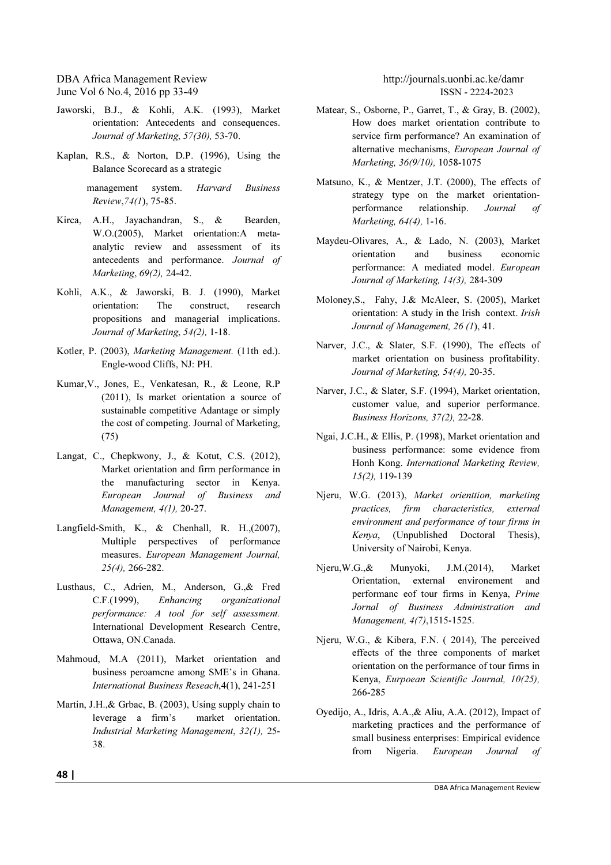- Jaworski, B.J., & Kohli, A.K. (1993), Market orientation: Antecedents and consequences. *Journal of Marketing*, *57(30),* 53-70.
- Kaplan, R.S., & Norton, D.P. (1996), Using the Balance Scorecard as a strategic

 management system. *Harvard Business Review*,*74(1*), 75-85.

- Kirca, A.H., Jayachandran, S., & Bearden, W.O.(2005), Market orientation:A metaanalytic review and assessment of its antecedents and performance. *Journal of Marketing*, *69(2),* 24-42.
- Kohli, A.K., & Jaworski, B. J. (1990), Market orientation: The construct, research propositions and managerial implications. *Journal of Marketing*, *54(2),* 1-18.
- Kotler, P. (2003), *Marketing Management.* (11th ed.). Engle-wood Cliffs, NJ: PH.
- Kumar,V., Jones, E., Venkatesan, R., & Leone, R.P (2011), Is market orientation a source of sustainable competitive Adantage or simply the cost of competing. Journal of Marketing, (75)
- Langat, C., Chepkwony, J., & Kotut, C.S. (2012), Market orientation and firm performance in the manufacturing sector in Kenya. *European Journal of Business and Management, 4(1),* 20-27.
- Langfield-Smith, K., & Chenhall, R. H.,(2007), Multiple perspectives of performance measures. *European Management Journal, 25(4),* 266-282.
- Lusthaus, C., Adrien, M., Anderson, G.,& Fred C.F.(1999), *Enhancing organizational performance: A tool for self assessment.*  International Development Research Centre, Ottawa, ON.Canada.
- Mahmoud, M.A (2011), Market orientation and business peroamcne among SME's in Ghana. *International Business Reseach*,4(1), 241-251
- Martin, J.H.,& Grbac, B. (2003), Using supply chain to leverage a firm's market orientation. *Industrial Marketing Management*, *32(1),* 25- 38.

- Matear, S., Osborne, P., Garret, T., & Gray, B. (2002), How does market orientation contribute to service firm performance? An examination of alternative mechanisms, *European Journal of Marketing, 36(9/10),* 1058-1075
- Matsuno, K., & Mentzer, J.T. (2000), The effects of strategy type on the market orientationperformance relationship. *Journal of Marketing, 64(4),* 1-16.
- Maydeu-Olivares, A., & Lado, N. (2003), Market orientation and business economic performance: A mediated model. *European Journal of Marketing, 14(3),* 284-309
- Moloney,S., Fahy, J.& McAleer, S. (2005), Market orientation: A study in the Irish context. *Irish Journal of Management, 26 (1*), 41.
- Narver, J.C., & Slater, S.F. (1990), The effects of market orientation on business profitability. *Journal of Marketing, 54(4),* 20-35.
- Narver, J.C., & Slater, S.F. (1994), Market orientation, customer value, and superior performance. *Business Horizons, 37(2),* 22-28.
- Ngai, J.C.H., & Ellis, P. (1998), Market orientation and business performance: some evidence from Honh Kong. *International Marketing Review, 15(2),* 119-139
- Njeru, W.G. (2013), *Market orienttion, marketing practices, firm characteristics, external environment and performance of tour firms in Kenya*, (Unpublished Doctoral Thesis), University of Nairobi, Kenya.
- Njeru,W.G.,& Munyoki, J.M.(2014), Market Orientation, external environement and performanc eof tour firms in Kenya, *Prime Jornal of Business Administration and Management, 4(7)*,1515-1525.
- Njeru, W.G., & Kibera, F.N. ( 2014), The perceived effects of the three components of market orientation on the performance of tour firms in Kenya, *Eurpoean Scientific Journal, 10(25),* 266-285
- Oyedijo, A., Idris, A.A.,& Aliu, A.A. (2012), Impact of marketing practices and the performance of small business enterprises: Empirical evidence from Nigeria. *European Journal of*